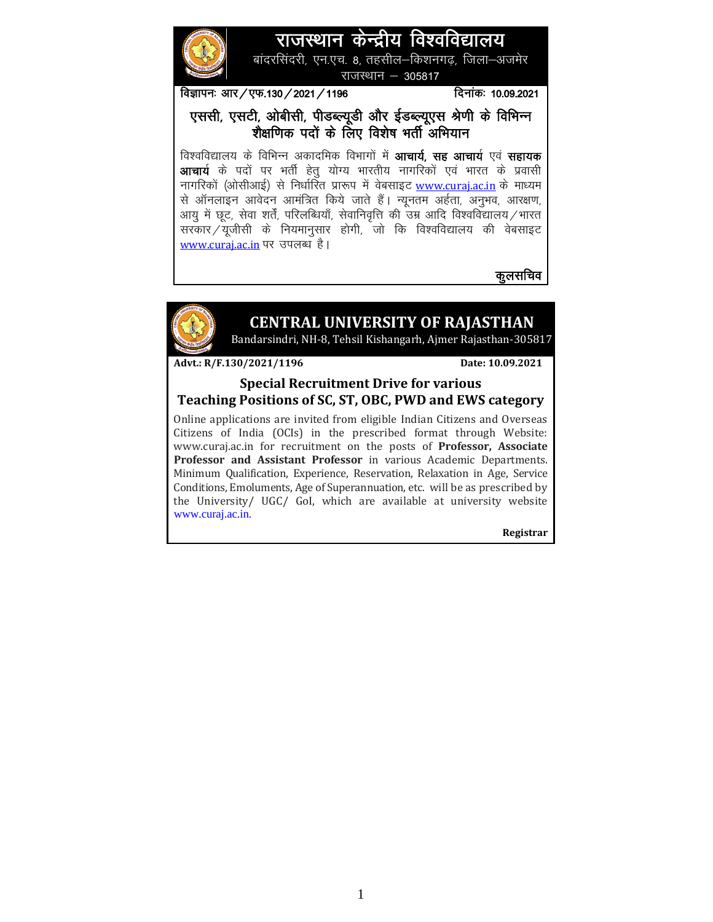# राजस्थान केन्द्रीय विश्वविद्यालय

बांदरसिंदरी, एन.एच. 8, तहसील—किशनगढ, जिला—अजमेर राजस्थान  $-305817$ 

विज्ञापनः आर / एफ.130 / 2021 / 1196 million administration and 10.09.2021

एससी, एसटी, ओबीसी, पीडब्ल्यूडी और ईडब्ल्यूएस श्रेणी के विभिन्न शैक्षणिक पदों के लिए विशेष भर्ती अभियान

विश्वविद्यालय के विभिन्न अकादमिक विभागों में **आचार्य, सह आचार्य** एवं **सहायक आचार्य** के पदों पर भर्ती हेत् योग्य भारतीय नागरिकों एवं भारत के प्रवासी नागरिकों (ओसीआई) से निर्धारित प्रारूप में वेबसाइट <u>www.curai.ac.in</u> के माध्यम से ऑनलाइन आवेदन आमंत्रित किये जाते हैं। न्यूनतम अर्हता, अनुभव, आरक्षण, आयु में छूट, सेवा शर्तें, परिलब्धियाँ, सेवानिवृत्ति की उम्र आदि विश्वविद्यालय $\neq$ भारत सरकार $\sqrt{2}$ प्रजीसी के नियमानुसार होगी, जो कि विश्वविद्यालय की वेबसाइट [www.curaj.ac.in](http://www.curaj.ac.in/) पर उपलब्ध है।

कुलसचिव



## **CENTRAL UNIVERSITY OF RAJASTHAN**

Bandarsindri, NH-8, Tehsil Kishangarh, Ajmer Rajasthan-305817

Advt.: R/F.130/2021/1196 Date: 10.09.2021

#### **Special Recruitment Drive for various Teaching Positions of SC, ST, OBC, PWD and EWS category**

Online applications are invited from eligible Indian Citizens and Overseas Citizens of India (OCIs) in the prescribed format through Website: www.curaj.ac.in for recruitment on the posts of **Professor, Associate Professor and Assistant Professor** in various Academic Departments. Minimum Qualification, Experience, Reservation, Relaxation in Age, Service Conditions, Emoluments, Age of Superannuation, etc. will be as prescribed by the University/ UGC/ GoI, which are available at university website www.curaj.ac.in.

**Registrar**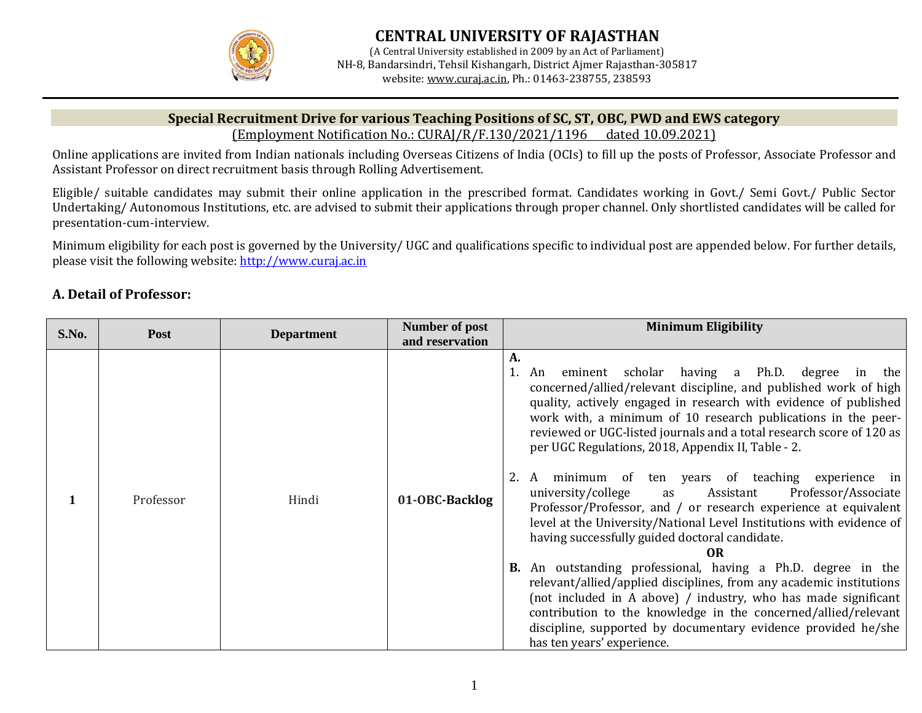

#### **Special Recruitment Drive for various Teaching Positions of SC, ST, OBC, PWD and EWS category**  (Employment Notification No.: CURAJ/R/F.130/2021/1196 dated 10.09.2021)

Online applications are invited from Indian nationals including Overseas Citizens of India (OCIs) to fill up the posts of Professor, Associate Professor and Assistant Professor on direct recruitment basis through Rolling Advertisement.

Eligible/ suitable candidates may submit their online application in the prescribed format. Candidates working in Govt./ Semi Govt./ Public Sector Undertaking/ Autonomous Institutions, etc. are advised to submit their applications through proper channel. Only shortlisted candidates will be called for presentation-cum-interview.

Minimum eligibility for each post is governed by the University/ UGC and qualifications specific to individual post are appended below. For further details, please visit the following website: [http://www.curaj.ac.in](http://www.curaj.ac.in/)

## **A. Detail of Professor:**

| S.No. | <b>Post</b> | <b>Department</b> | <b>Number of post</b> | <b>Minimum Eligibility</b>                                                                                                                                                                                                                                                                                                                                                                                                                                                                                                                                                                                                                                                                                                                                                                                                                                                                                                                                                                                                                                                                             |
|-------|-------------|-------------------|-----------------------|--------------------------------------------------------------------------------------------------------------------------------------------------------------------------------------------------------------------------------------------------------------------------------------------------------------------------------------------------------------------------------------------------------------------------------------------------------------------------------------------------------------------------------------------------------------------------------------------------------------------------------------------------------------------------------------------------------------------------------------------------------------------------------------------------------------------------------------------------------------------------------------------------------------------------------------------------------------------------------------------------------------------------------------------------------------------------------------------------------|
|       |             |                   | and reservation       |                                                                                                                                                                                                                                                                                                                                                                                                                                                                                                                                                                                                                                                                                                                                                                                                                                                                                                                                                                                                                                                                                                        |
|       | Professor   | Hindi             | 01-OBC-Backlog        | A.<br>eminent scholar having a Ph.D. degree in the<br>An<br>concerned/allied/relevant discipline, and published work of high<br>quality, actively engaged in research with evidence of published<br>work with, a minimum of 10 research publications in the peer-<br>reviewed or UGC-listed journals and a total research score of 120 as<br>per UGC Regulations, 2018, Appendix II, Table - 2.<br>minimum of ten years of teaching experience in<br>A<br>university/college<br>Professor/Associate<br>Assistant<br>as<br>Professor/Professor, and / or research experience at equivalent<br>level at the University/National Level Institutions with evidence of<br>having successfully guided doctoral candidate.<br>0R<br>An outstanding professional, having a Ph.D. degree in the<br>В.<br>relevant/allied/applied disciplines, from any academic institutions<br>(not included in A above) / industry, who has made significant<br>contribution to the knowledge in the concerned/allied/relevant<br>discipline, supported by documentary evidence provided he/she<br>has ten years' experience. |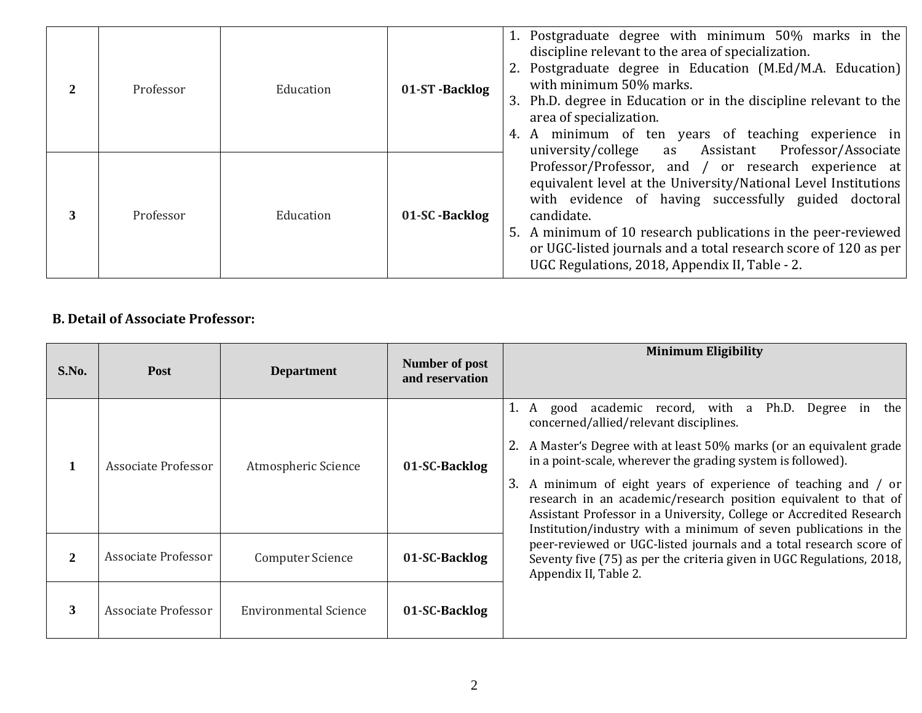| $\mathfrak{D}$ | Professor | Education | 01-ST-Backlog | 1. Postgraduate degree with minimum 50% marks in the<br>discipline relevant to the area of specialization.<br>2. Postgraduate degree in Education (M.Ed/M.A. Education)<br>with minimum 50% marks.<br>3. Ph.D. degree in Education or in the discipline relevant to the<br>area of specialization.<br>4. A minimum of ten years of teaching experience in<br>Professor/Associate<br>university/college as Assistant |
|----------------|-----------|-----------|---------------|---------------------------------------------------------------------------------------------------------------------------------------------------------------------------------------------------------------------------------------------------------------------------------------------------------------------------------------------------------------------------------------------------------------------|
| 3              | Professor | Education | 01-SC-Backlog | Professor/Professor, and / or research experience at<br>equivalent level at the University/National Level Institutions<br>with evidence of having successfully guided doctoral<br>candidate.<br>5. A minimum of 10 research publications in the peer-reviewed<br>or UGC-listed journals and a total research score of 120 as per<br>UGC Regulations, 2018, Appendix II, Table - 2.                                  |

## **B. Detail of Associate Professor:**

| S.No. | <b>Post</b>         | <b>Department</b>            | Number of post<br>and reservation | <b>Minimum Eligibility</b>                                                                                                                                                                                                                                                                                                                                                                                                                                    |  |
|-------|---------------------|------------------------------|-----------------------------------|---------------------------------------------------------------------------------------------------------------------------------------------------------------------------------------------------------------------------------------------------------------------------------------------------------------------------------------------------------------------------------------------------------------------------------------------------------------|--|
|       | Associate Professor | Atmospheric Science          | 01-SC-Backlog                     | academic record, with a Ph.D.<br>Degree<br>the  <br>in<br>1. A good<br>concerned/allied/relevant disciplines.<br>A Master's Degree with at least 50% marks (or an equivalent grade<br>in a point-scale, wherever the grading system is followed).<br>3. A minimum of eight years of experience of teaching and / or<br>research in an academic/research position equivalent to that of<br>Assistant Professor in a University, College or Accredited Research |  |
| 2     | Associate Professor | <b>Computer Science</b>      | 01-SC-Backlog                     | Institution/industry with a minimum of seven publications in the<br>peer-reviewed or UGC-listed journals and a total research score of<br>Seventy five (75) as per the criteria given in UGC Regulations, 2018,<br>Appendix II, Table 2.                                                                                                                                                                                                                      |  |
| 3     | Associate Professor | <b>Environmental Science</b> | 01-SC-Backlog                     |                                                                                                                                                                                                                                                                                                                                                                                                                                                               |  |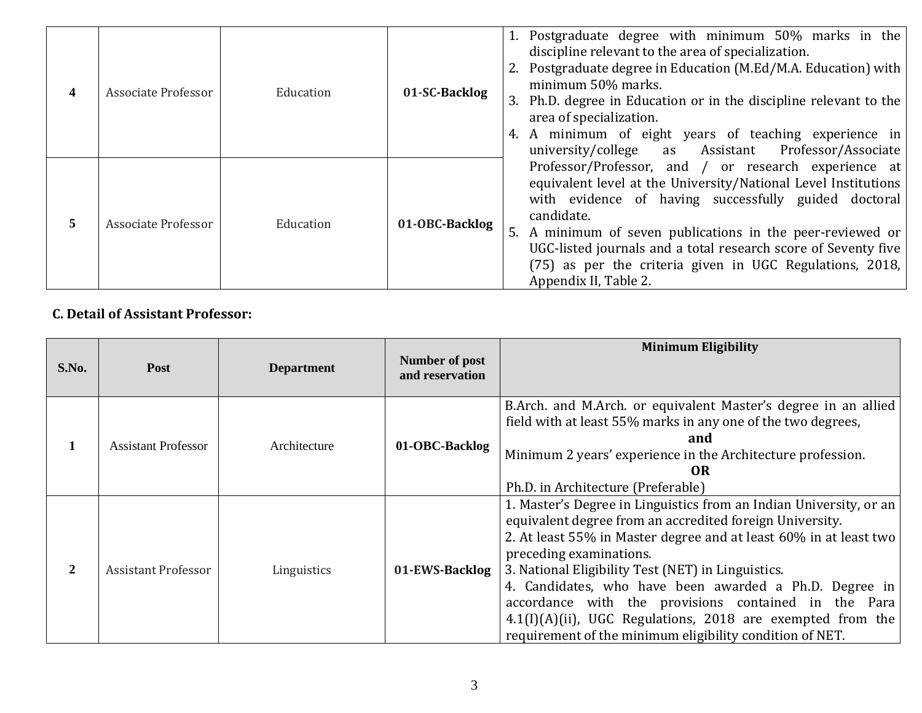| 4 | Associate Professor | Education | 01-SC-Backlog  | 1. Postgraduate degree with minimum 50% marks in the<br>discipline relevant to the area of specialization.<br>2. Postgraduate degree in Education (M.Ed/M.A. Education) with<br>minimum 50% marks.<br>3. Ph.D. degree in Education or in the discipline relevant to the<br>area of specialization.<br>A minimum of eight years of teaching experience in<br>4.<br>university/college as Assistant<br>Professor/Associate |
|---|---------------------|-----------|----------------|--------------------------------------------------------------------------------------------------------------------------------------------------------------------------------------------------------------------------------------------------------------------------------------------------------------------------------------------------------------------------------------------------------------------------|
| 5 | Associate Professor | Education | 01-OBC-Backlog | Professor/Professor, and / or research experience at<br>equivalent level at the University/National Level Institutions<br>with evidence of having successfully guided doctoral<br>candidate.<br>A minimum of seven publications in the peer-reviewed or<br>5.<br>UGC-listed journals and a total research score of Seventy five<br>$(75)$ as per the criteria given in UGC Regulations, 2018,<br>Appendix II, Table 2.   |

## **C. Detail of Assistant Professor:**

| S.No.        | <b>Post</b>                | <b>Department</b> | Number of post<br>and reservation                                                                                                                                                                                                                                         | <b>Minimum Eligibility</b>                                                                                                                                                                                                                                                                                                                                                                                                                                                                                                          |
|--------------|----------------------------|-------------------|---------------------------------------------------------------------------------------------------------------------------------------------------------------------------------------------------------------------------------------------------------------------------|-------------------------------------------------------------------------------------------------------------------------------------------------------------------------------------------------------------------------------------------------------------------------------------------------------------------------------------------------------------------------------------------------------------------------------------------------------------------------------------------------------------------------------------|
|              | <b>Assistant Professor</b> | Architecture      | B.Arch. and M.Arch. or equivalent Master's degree in an allied<br>field with at least 55% marks in any one of the two degrees,<br>and<br>01-OBC-Backlog<br>Minimum 2 years' experience in the Architecture profession.<br><b>OR</b><br>Ph.D. in Architecture (Preferable) |                                                                                                                                                                                                                                                                                                                                                                                                                                                                                                                                     |
| $\mathbf{2}$ | <b>Assistant Professor</b> | Linguistics       | 01-EWS-Backlog                                                                                                                                                                                                                                                            | 1. Master's Degree in Linguistics from an Indian University, or an<br>equivalent degree from an accredited foreign University.<br>2. At least 55% in Master degree and at least 60% in at least two<br>preceding examinations.<br>3. National Eligibility Test (NET) in Linguistics.<br>4. Candidates, who have been awarded a Ph.D. Degree in<br>accordance with the provisions contained in the Para<br>$4.1(I)(A)(ii)$ , UGC Regulations, 2018 are exempted from the<br>requirement of the minimum eligibility condition of NET. |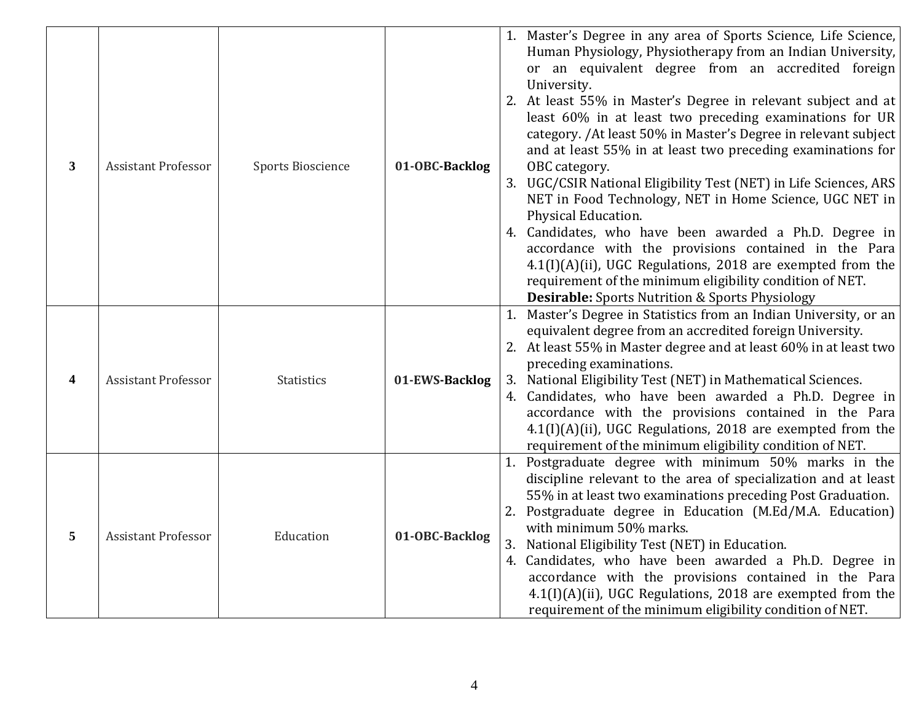| $\mathbf{3}$ | <b>Assistant Professor</b> | <b>Sports Bioscience</b> | 01-OBC-Backlog | 1. Master's Degree in any area of Sports Science, Life Science,<br>Human Physiology, Physiotherapy from an Indian University,<br>or an equivalent degree from an accredited foreign<br>University.<br>2. At least 55% in Master's Degree in relevant subject and at<br>least $60\%$ in at least two preceding examinations for UR<br>category. / At least 50% in Master's Degree in relevant subject<br>and at least 55% in at least two preceding examinations for<br>OBC category.<br>3. UGC/CSIR National Eligibility Test (NET) in Life Sciences, ARS<br>NET in Food Technology, NET in Home Science, UGC NET in<br>Physical Education.<br>4. Candidates, who have been awarded a Ph.D. Degree in<br>accordance with the provisions contained in the Para<br>4.1(I)(A)(ii), UGC Regulations, 2018 are exempted from the<br>requirement of the minimum eligibility condition of NET.<br><b>Desirable:</b> Sports Nutrition & Sports Physiology |
|--------------|----------------------------|--------------------------|----------------|---------------------------------------------------------------------------------------------------------------------------------------------------------------------------------------------------------------------------------------------------------------------------------------------------------------------------------------------------------------------------------------------------------------------------------------------------------------------------------------------------------------------------------------------------------------------------------------------------------------------------------------------------------------------------------------------------------------------------------------------------------------------------------------------------------------------------------------------------------------------------------------------------------------------------------------------------|
| 4            | <b>Assistant Professor</b> | <b>Statistics</b>        | 01-EWS-Backlog | 1. Master's Degree in Statistics from an Indian University, or an<br>equivalent degree from an accredited foreign University.<br>2. At least 55% in Master degree and at least 60% in at least two<br>preceding examinations.<br>3. National Eligibility Test (NET) in Mathematical Sciences.<br>4. Candidates, who have been awarded a Ph.D. Degree in<br>accordance with the provisions contained in the Para<br>$4.1(I)(A)(ii)$ , UGC Regulations, 2018 are exempted from the<br>requirement of the minimum eligibility condition of NET.                                                                                                                                                                                                                                                                                                                                                                                                      |
| 5            | <b>Assistant Professor</b> | Education                | 01-OBC-Backlog | 1. Postgraduate degree with minimum 50% marks in the<br>discipline relevant to the area of specialization and at least<br>55% in at least two examinations preceding Post Graduation.<br>2. Postgraduate degree in Education (M.Ed/M.A. Education)<br>with minimum 50% marks.<br>3. National Eligibility Test (NET) in Education.<br>4. Candidates, who have been awarded a Ph.D. Degree in<br>accordance with the provisions contained in the Para<br>$4.1(I)(A)(ii)$ , UGC Regulations, 2018 are exempted from the<br>requirement of the minimum eligibility condition of NET.                                                                                                                                                                                                                                                                                                                                                                  |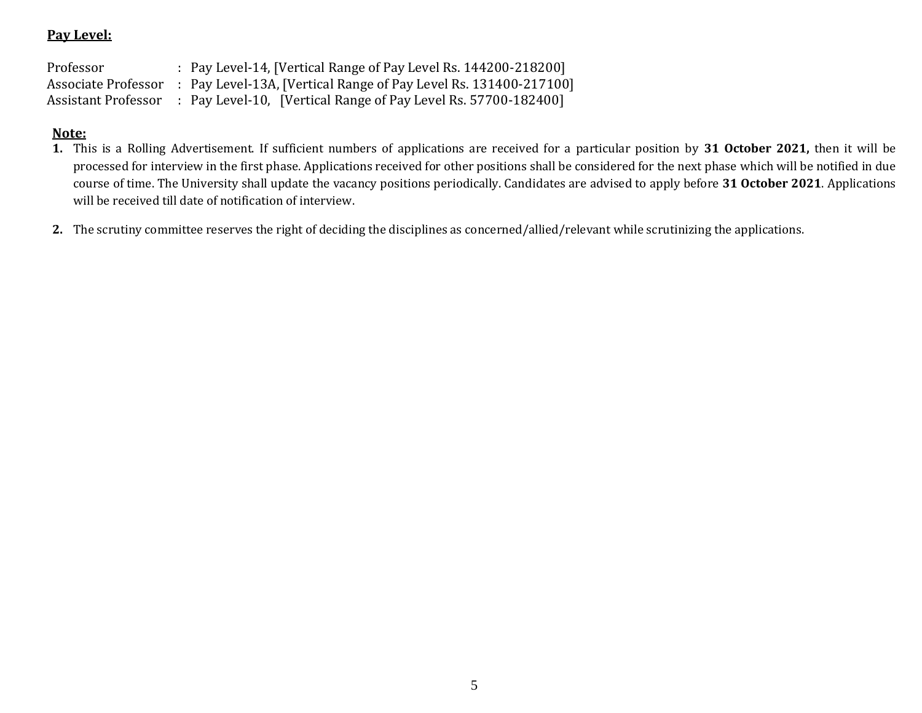### **Pay Level:**

Professor : Pay Level-14, [Vertical Range of Pay Level Rs. 144200-218200] Associate Professor : Pay Level-13A, [Vertical Range of Pay Level Rs. 131400-217100] Assistant Professor : Pay Level-10, [Vertical Range of Pay Level Rs. 57700-182400]

## **Note:**

- **1.** This is a Rolling Advertisement. If sufficient numbers of applications are received for a particular position by **31 October 2021,** then it will be processed for interview in the first phase. Applications received for other positions shall be considered for the next phase which will be notified in due course of time. The University shall update the vacancy positions periodically. Candidates are advised to apply before **31 October 2021**. Applications will be received till date of notification of interview.
- **2.** The scrutiny committee reserves the right of deciding the disciplines as concerned/allied/relevant while scrutinizing the applications.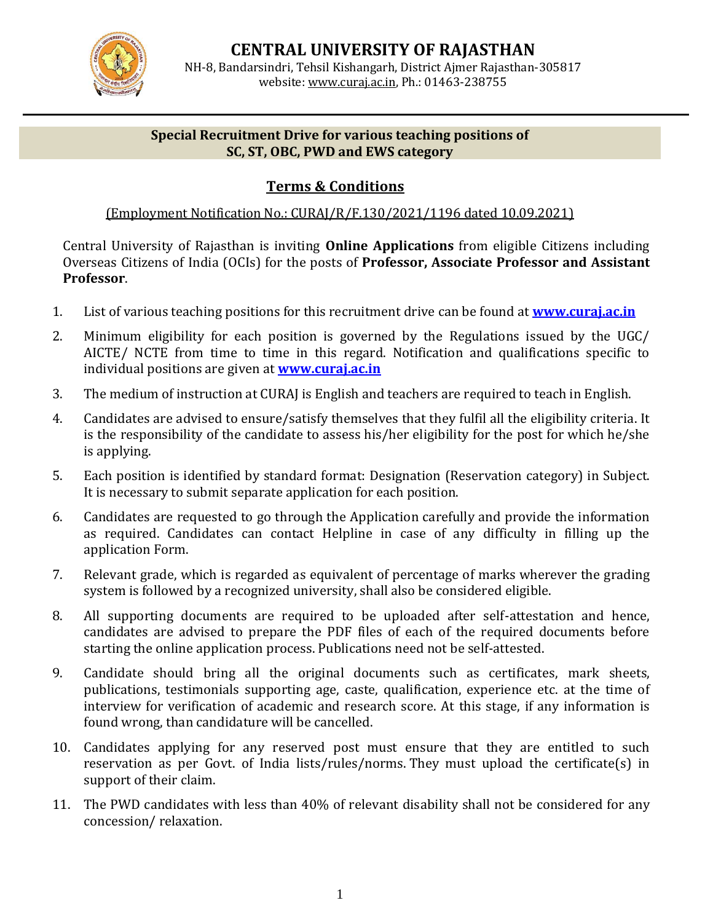

**CENTRAL UNIVERSITY OF RAJASTHAN** NH-8, Bandarsindri, Tehsil Kishangarh, District Ajmer Rajasthan-305817 website[: www.curaj.ac.in,](http://www.curaj.ac.in/) Ph.: 01463-238755

#### **Special Recruitment Drive for various teaching positions of SC, ST, OBC, PWD and EWS category**

## **Terms & Conditions**

## (Employment Notification No.: CURAJ/R/F.130/2021/1196 dated 10.09.2021)

Central University of Rajasthan is inviting **Online Applications** from eligible Citizens including Overseas Citizens of India (OCIs) for the posts of **Professor, Associate Professor and Assistant Professor**.

- 1. List of various teaching positions for this recruitment drive can be found at **[www.curaj.ac.in](http://www.curaj.ac.in/)**
- 2. Minimum eligibility for each position is governed by the Regulations issued by the UGC/ AICTE/ NCTE from time to time in this regard. Notification and qualifications specific to individual positions are given at **[www.curaj.ac.in](http://www.curaj.ac.in/)**
- 3. The medium of instruction at CURAJ is English and teachers are required to teach in English.
- 4. Candidates are advised to ensure/satisfy themselves that they fulfil all the eligibility criteria. It is the responsibility of the candidate to assess his/her eligibility for the post for which he/she is applying.
- 5. Each position is identified by standard format: Designation (Reservation category) in Subject. It is necessary to submit separate application for each position.
- 6. Candidates are requested to go through the Application carefully and provide the information as required. Candidates can contact Helpline in case of any difficulty in filling up the application Form.
- 7. Relevant grade, which is regarded as equivalent of percentage of marks wherever the grading system is followed by a recognized university, shall also be considered eligible.
- 8. All supporting documents are required to be uploaded after self-attestation and hence, candidates are advised to prepare the PDF files of each of the required documents before starting the online application process. Publications need not be self-attested.
- 9. Candidate should bring all the original documents such as certificates, mark sheets, publications, testimonials supporting age, caste, qualification, experience etc. at the time of interview for verification of academic and research score. At this stage, if any information is found wrong, than candidature will be cancelled.
- 10. Candidates applying for any reserved post must ensure that they are entitled to such reservation as per Govt. of India lists/rules/norms. They must upload the certificate(s) in support of their claim.
- 11. The PWD candidates with less than 40% of relevant disability shall not be considered for any concession/ relaxation.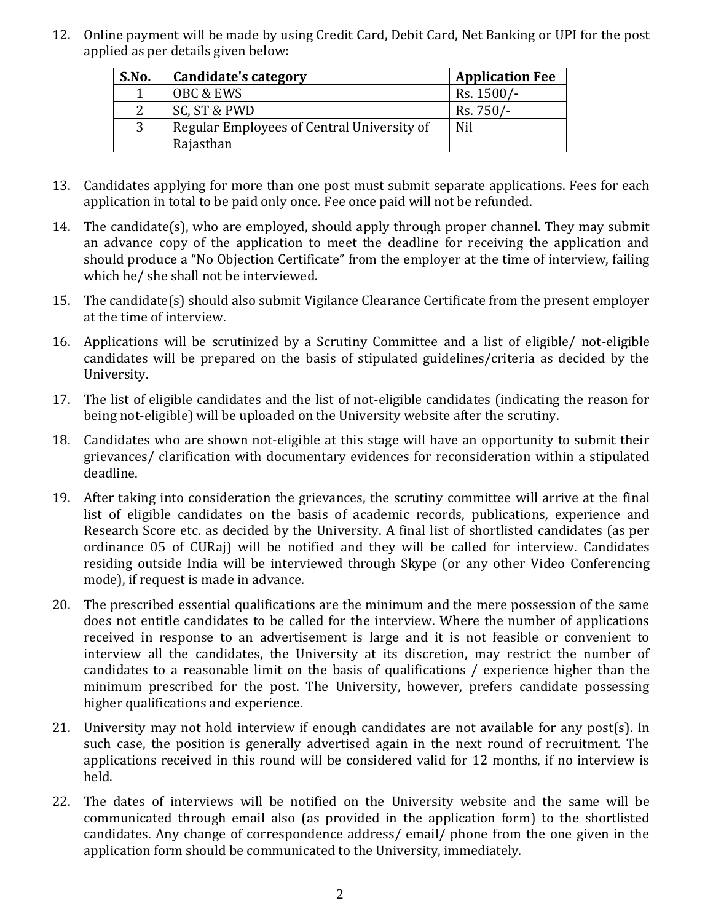12. Online payment will be made by using Credit Card, Debit Card, Net Banking or UPI for the post applied as per details given below:

| S.No.         | Candidate's category                       | <b>Application Fee</b> |
|---------------|--------------------------------------------|------------------------|
|               | OBC & EWS                                  | Rs. 1500/-             |
| $\mathcal{D}$ | SC, ST & PWD                               | Rs. 750/-              |
| 3             | Regular Employees of Central University of | Nil                    |
|               | Rajasthan                                  |                        |

- 13. Candidates applying for more than one post must submit separate applications. Fees for each application in total to be paid only once. Fee once paid will not be refunded.
- 14. The candidate(s), who are employed, should apply through proper channel. They may submit an advance copy of the application to meet the deadline for receiving the application and should produce a "No Objection Certificate" from the employer at the time of interview, failing which he/ she shall not be interviewed.
- 15. The candidate(s) should also submit Vigilance Clearance Certificate from the present employer at the time of interview.
- 16. Applications will be scrutinized by a Scrutiny Committee and a list of eligible/ not-eligible candidates will be prepared on the basis of stipulated guidelines/criteria as decided by the University.
- 17. The list of eligible candidates and the list of not-eligible candidates (indicating the reason for being not-eligible) will be uploaded on the University website after the scrutiny.
- 18. Candidates who are shown not-eligible at this stage will have an opportunity to submit their grievances/ clarification with documentary evidences for reconsideration within a stipulated deadline.
- 19. After taking into consideration the grievances, the scrutiny committee will arrive at the final list of eligible candidates on the basis of academic records, publications, experience and Research Score etc. as decided by the University. A final list of shortlisted candidates (as per ordinance 05 of CURaj) will be notified and they will be called for interview. Candidates residing outside India will be interviewed through Skype (or any other Video Conferencing mode), if request is made in advance.
- 20. The prescribed essential qualifications are the minimum and the mere possession of the same does not entitle candidates to be called for the interview. Where the number of applications received in response to an advertisement is large and it is not feasible or convenient to interview all the candidates, the University at its discretion, may restrict the number of candidates to a reasonable limit on the basis of qualifications / experience higher than the minimum prescribed for the post. The University, however, prefers candidate possessing higher qualifications and experience.
- 21. University may not hold interview if enough candidates are not available for any post(s). In such case, the position is generally advertised again in the next round of recruitment. The applications received in this round will be considered valid for 12 months, if no interview is held.
- 22. The dates of interviews will be notified on the University website and the same will be communicated through email also (as provided in the application form) to the shortlisted candidates. Any change of correspondence address/ email/ phone from the one given in the application form should be communicated to the University, immediately.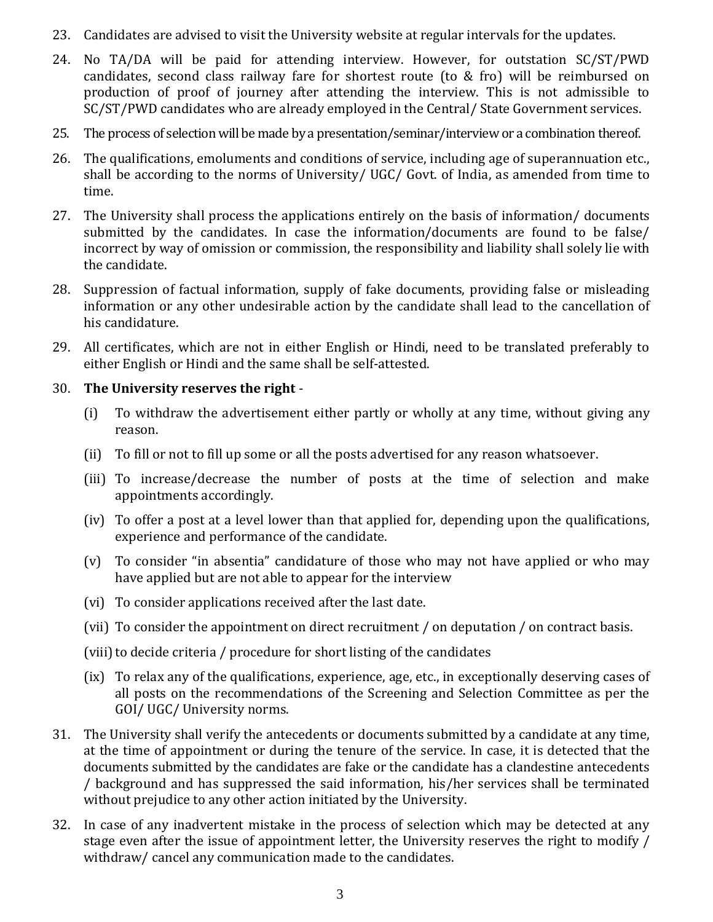- 23. Candidates are advised to visit the University website at regular intervals for the updates.
- 24. No TA/DA will be paid for attending interview. However, for outstation SC/ST/PWD candidates, second class railway fare for shortest route (to & fro) will be reimbursed on production of proof of journey after attending the interview. This is not admissible to SC/ST/PWD candidates who are already employed in the Central/ State Government services.
- 25. The process of selection will be made by a presentation/seminar/interview or a combination thereof.
- 26. The qualifications, emoluments and conditions of service, including age of superannuation etc., shall be according to the norms of University/ UGC/ Govt. of India, as amended from time to time.
- 27. The University shall process the applications entirely on the basis of information/ documents submitted by the candidates. In case the information/documents are found to be false/ incorrect by way of omission or commission, the responsibility and liability shall solely lie with the candidate.
- 28. Suppression of factual information, supply of fake documents, providing false or misleading information or any other undesirable action by the candidate shall lead to the cancellation of his candidature.
- 29. All certificates, which are not in either English or Hindi, need to be translated preferably to either English or Hindi and the same shall be self-attested.

## 30. **The University reserves the right** -

- (i) To withdraw the advertisement either partly or wholly at any time, without giving any reason.
- (ii) To fill or not to fill up some or all the posts advertised for any reason whatsoever.
- (iii) To increase/decrease the number of posts at the time of selection and make appointments accordingly.
- (iv) To offer a post at a level lower than that applied for, depending upon the qualifications, experience and performance of the candidate.
- (v) To consider "in absentia" candidature of those who may not have applied or who may have applied but are not able to appear for the interview
- (vi) To consider applications received after the last date.
- (vii) To consider the appointment on direct recruitment / on deputation / on contract basis.

(viii) to decide criteria / procedure for short listing of the candidates

- (ix) To relax any of the qualifications, experience, age, etc., in exceptionally deserving cases of all posts on the recommendations of the Screening and Selection Committee as per the GOI/ UGC/ University norms.
- 31. The University shall verify the antecedents or documents submitted by a candidate at any time, at the time of appointment or during the tenure of the service. In case, it is detected that the documents submitted by the candidates are fake or the candidate has a clandestine antecedents / background and has suppressed the said information, his/her services shall be terminated without prejudice to any other action initiated by the University.
- 32. In case of any inadvertent mistake in the process of selection which may be detected at any stage even after the issue of appointment letter, the University reserves the right to modify / withdraw/ cancel any communication made to the candidates.